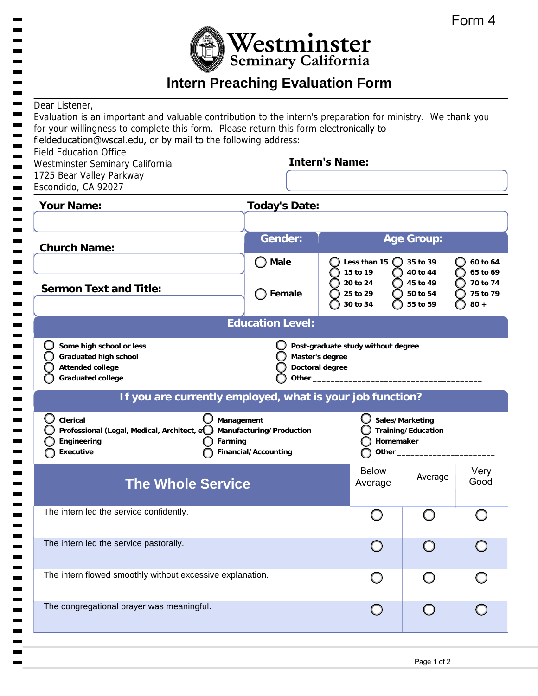

# **Intern Preaching Evaluation Form**

| Dear Listener,<br>for your willingness to complete this form. Please return this form electronically to<br>fieldeducation@wscal.edu, or by mail to the following address:<br><b>Field Education Office</b><br>Westminster Seminary California<br>1725 Bear Valley Parkway<br>Escondido, CA 92027 | Evaluation is an important and valuable contribution to the intern's preparation for ministry. We thank you<br><b>Intern's Name:</b> |                                                                                                                                                                                                                                                                                                                  |                                              |                                              |                                            |
|--------------------------------------------------------------------------------------------------------------------------------------------------------------------------------------------------------------------------------------------------------------------------------------------------|--------------------------------------------------------------------------------------------------------------------------------------|------------------------------------------------------------------------------------------------------------------------------------------------------------------------------------------------------------------------------------------------------------------------------------------------------------------|----------------------------------------------|----------------------------------------------|--------------------------------------------|
| <b>Your Name:</b>                                                                                                                                                                                                                                                                                | <b>Today's Date:</b>                                                                                                                 |                                                                                                                                                                                                                                                                                                                  |                                              |                                              |                                            |
| <b>Church Name:</b>                                                                                                                                                                                                                                                                              | <b>Gender:</b><br><b>Male</b>                                                                                                        |                                                                                                                                                                                                                                                                                                                  | Less than 15                                 | <b>Age Group:</b><br>35 to 39                | 60 to 64                                   |
| <b>Sermon Text and Title:</b>                                                                                                                                                                                                                                                                    | Female                                                                                                                               |                                                                                                                                                                                                                                                                                                                  | 15 to 19<br>20 to 24<br>25 to 29<br>30 to 34 | 40 to 44<br>45 to 49<br>50 to 54<br>55 to 59 | 65 to 69<br>70 to 74<br>75 to 79<br>$80 +$ |
|                                                                                                                                                                                                                                                                                                  | <b>Education Level:</b>                                                                                                              |                                                                                                                                                                                                                                                                                                                  |                                              |                                              |                                            |
| Some high school or less<br><b>Graduated high school</b><br><b>Attended college</b><br><b>Graduated college</b>                                                                                                                                                                                  |                                                                                                                                      | Post-graduate study without degree<br>Master's degree<br>Doctoral degree<br>Other <b>Communist Communist Communist Communist Communist Communist Communist Communist Communist Communist Communist Communist Communist Communist Communist Communist Communist Communist Communist Communist Communist Commu</b> |                                              |                                              |                                            |
| If you are currently employed, what is your job function?                                                                                                                                                                                                                                        |                                                                                                                                      |                                                                                                                                                                                                                                                                                                                  |                                              |                                              |                                            |
| Clerical<br>Professional (Legal, Medical, Architect, e<br>Engineering<br>Farming<br><b>Executive</b>                                                                                                                                                                                             | Management<br>Manufacturing/Production<br>Financial/Accounting                                                                       |                                                                                                                                                                                                                                                                                                                  | Homemaker<br>Other_                          | Sales/Marketing<br>Training/Education        |                                            |
| <b>The Whole Service</b>                                                                                                                                                                                                                                                                         |                                                                                                                                      |                                                                                                                                                                                                                                                                                                                  | <b>Below</b><br>Average                      | Average                                      | Very<br>Good                               |
| The intern led the service confidently.                                                                                                                                                                                                                                                          |                                                                                                                                      |                                                                                                                                                                                                                                                                                                                  | $\bigcirc$                                   | $\bigcirc$                                   |                                            |
| The intern led the service pastorally.                                                                                                                                                                                                                                                           |                                                                                                                                      |                                                                                                                                                                                                                                                                                                                  |                                              |                                              |                                            |

The intern flowed smoothly without excessive explanation.

The congregational prayer was meaningful.

 $\bigcirc$ 

 $\bigcirc$ 

 $\bigcirc$ 

 $\bigcirc$ 

 $\bigcirc$ 

 $\bigcirc$